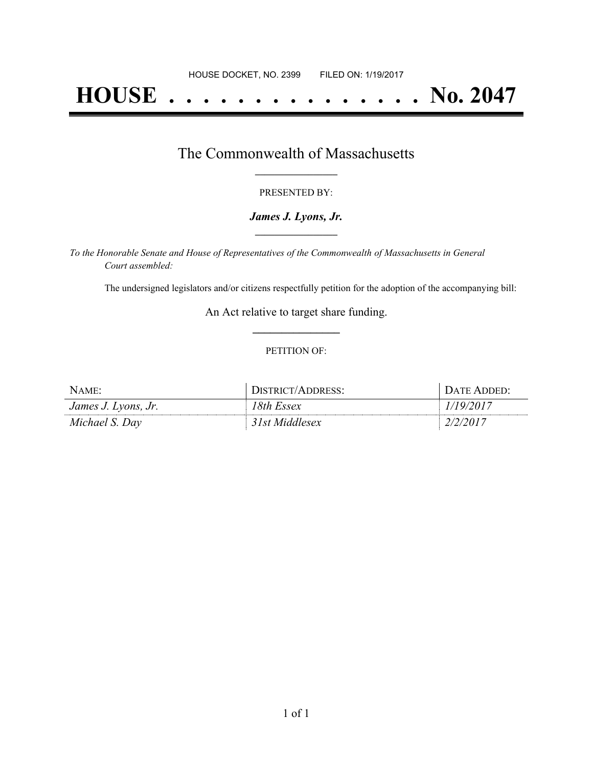# **HOUSE . . . . . . . . . . . . . . . No. 2047**

### The Commonwealth of Massachusetts **\_\_\_\_\_\_\_\_\_\_\_\_\_\_\_\_\_**

#### PRESENTED BY:

#### *James J. Lyons, Jr.* **\_\_\_\_\_\_\_\_\_\_\_\_\_\_\_\_\_**

*To the Honorable Senate and House of Representatives of the Commonwealth of Massachusetts in General Court assembled:*

The undersigned legislators and/or citizens respectfully petition for the adoption of the accompanying bill:

An Act relative to target share funding. **\_\_\_\_\_\_\_\_\_\_\_\_\_\_\_**

#### PETITION OF:

| NAME:               | DISTRICT/ADDRESS: | DATE ADDED: |
|---------------------|-------------------|-------------|
| James J. Lyons, Jr. | 18th Essex        | 1/19/2017   |
| Michael S. Dav      | 31st Middlesex    | 2/2/2017    |